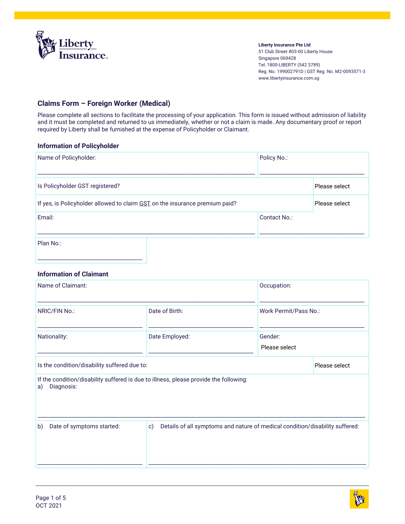

**Liberty Insurance Pte Ltd** 51 Club Street #03-00 Liberty House Singapore 069428 Tel: 1800-LIBERTY (542 3789) Reg. No. 199002791D | GST Reg. No. M2-0093571-3 www.libertyinsurance.com.sg

### **Claims Form – Foreign Worker (Medical)**

Please complete all sections to facilitate the processing of your application. This form is issued without admission of liability and it must be completed and returned to us immediately, whether or not a claim is made. Any documentary proof or report required by Liberty shall be furnished at the expense of Policyholder or Claimant.

#### **Information of Policyholder**

| Name of Policyholder:                                                       | Policy No.:  |               |
|-----------------------------------------------------------------------------|--------------|---------------|
| Is Policyholder GST registered?                                             |              | Please select |
| If yes, is Policyholder allowed to claim GST on the insurance premium paid? |              | Please select |
| Email:                                                                      | Contact No.: |               |
| Plan No.:                                                                   |              |               |

#### **Information of Claimant**

| Name of Claimant:                                                                                         |                                                                                              | Occupation:              |               |
|-----------------------------------------------------------------------------------------------------------|----------------------------------------------------------------------------------------------|--------------------------|---------------|
| NRIC/FIN No.:                                                                                             | Date of Birth:                                                                               | Work Permit/Pass No.:    |               |
| Nationality:                                                                                              | Date Employed:                                                                               | Gender:<br>Please select |               |
| Is the condition/disability suffered due to:                                                              |                                                                                              |                          | Please select |
| If the condition/disability suffered is due to illness, please provide the following:<br>Diagnosis:<br>a) |                                                                                              |                          |               |
| Date of symptoms started:<br>b)                                                                           | Details of all symptoms and nature of medical condition/disability suffered:<br>$\mathbf{c}$ |                          |               |

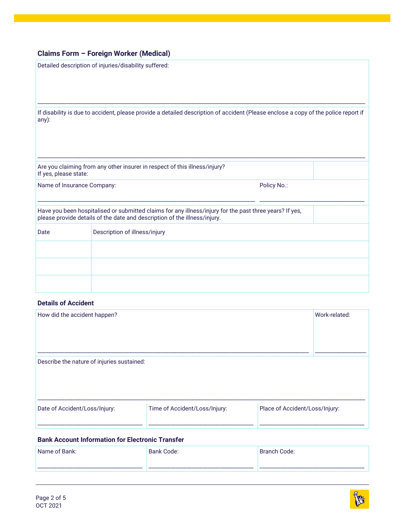|                                                                                                                                                                                      | Detailed description of injuries/disability suffered:                      |  |  |
|--------------------------------------------------------------------------------------------------------------------------------------------------------------------------------------|----------------------------------------------------------------------------|--|--|
| If disability is due to accident, please provide a detailed description of accident (Please enclose a copy of the police report if<br>any):                                          |                                                                            |  |  |
| If yes, please state:                                                                                                                                                                | Are you claiming from any other insurer in respect of this illness/injury? |  |  |
| Name of Insurance Company:<br>Policy No.:                                                                                                                                            |                                                                            |  |  |
| Have you been hospitalised or submitted claims for any illness/injury for the past three years? If yes,<br>please provide details of the date and description of the illness/injury. |                                                                            |  |  |
| Date                                                                                                                                                                                 | Description of illness/injury                                              |  |  |
|                                                                                                                                                                                      |                                                                            |  |  |
|                                                                                                                                                                                      |                                                                            |  |  |
|                                                                                                                                                                                      |                                                                            |  |  |

### **Details of Accident**

| How did the accident happen?               |                               |                                | Work-related: |
|--------------------------------------------|-------------------------------|--------------------------------|---------------|
| Describe the nature of injuries sustained: |                               |                                |               |
| Date of Accident/Loss/Injury:              | Time of Accident/Loss/Injury: | Place of Accident/Loss/Injury: |               |

#### **Bank Account Information for Electronic Transfer**

| Bank:<br>Name c | Code:<br>. Ronk<br>Dalin | Code:    |
|-----------------|--------------------------|----------|
| ____            | ___________<br>____      | ________ |

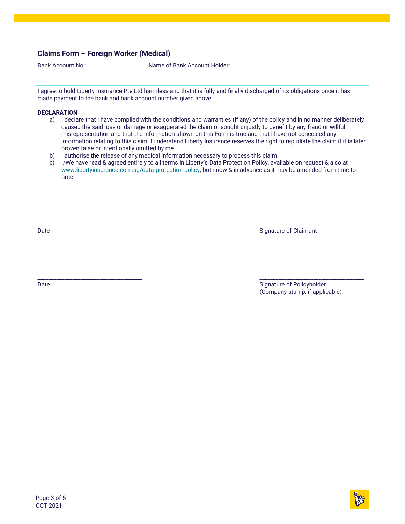\_\_\_\_\_\_\_\_\_\_\_\_\_\_\_\_\_\_\_\_\_\_\_\_\_\_\_\_\_\_\_\_\_\_\_\_\_\_\_

\_\_\_\_\_\_\_\_\_\_\_\_\_\_\_\_\_\_\_\_\_\_\_\_\_\_\_\_\_\_\_\_\_\_\_\_\_\_\_

\_\_\_\_\_\_\_\_\_\_\_\_\_\_\_\_\_\_\_\_\_\_\_\_\_\_\_\_\_\_\_\_\_\_\_\_\_\_\_

Bank Account No.:

Name of Bank Account Holder:

I agree to hold Liberty Insurance Pte Ltd harmless and that it is fully and finally discharged of its obligations once it has made payment to the bank and bank account number given above.

#### **DECLARATION**

a) I declare that I have complied with the conditions and warranties (if any) of the policy and in no manner deliberately caused the said loss or damage or exaggerated the claim or sought unjustly to benefit by any fraud or willful misrepresentation and that the information shown on this Form is true and that I have not concealed any information relating to this claim. I understand Liberty Insurance reserves the right to repudiate the claim if it is later proven false or intentionally omitted by me.

\_\_\_\_\_\_\_\_\_\_\_\_\_\_\_\_\_\_\_\_\_\_\_\_\_\_\_\_\_\_\_\_\_\_\_\_\_\_\_\_\_\_\_\_\_\_\_\_\_\_\_\_\_\_\_\_\_\_\_\_\_\_\_\_\_\_\_\_\_\_\_\_\_\_\_\_\_\_\_\_\_

- b) I authorise the release of any medical information necessary to process this claim.
- c) I/We have read & agreed entirely to all terms in Liberty's Data Protection Policy, available on request & also at [www.libertyinsurance.com.sg/data-protection-policy,](http://www.libertyinsurance.com.sg/data-protection-policy) both now & in advance as it may be amended from time to time.

Date

Signature of Claimant

Date

\_\_\_\_\_\_\_\_\_\_\_\_\_\_\_\_\_\_\_\_\_\_\_\_\_\_\_\_\_\_\_\_\_\_\_\_\_\_\_ Signature of Policyholder (Company stamp, if applicable)

\_\_\_\_\_\_\_\_\_\_\_\_\_\_\_\_\_\_\_\_\_\_\_\_\_\_\_\_\_\_\_\_\_\_\_\_\_\_\_

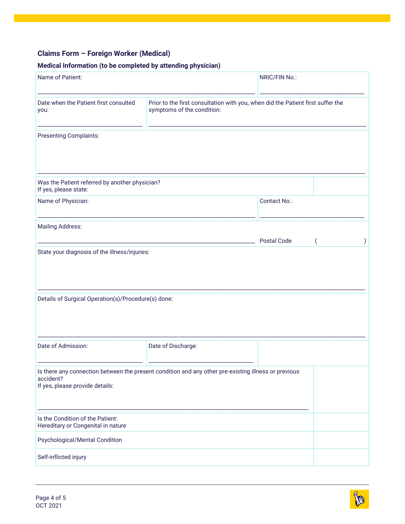### **Medical Information (to be completed by attending physician)**

| Name of Patient:                                                                                                                                     |                                                                                                               | NRIC/FIN No.: |  |
|------------------------------------------------------------------------------------------------------------------------------------------------------|---------------------------------------------------------------------------------------------------------------|---------------|--|
| Date when the Patient first consulted<br>you:                                                                                                        | Prior to the first consultation with you, when did the Patient first suffer the<br>symptoms of the condition: |               |  |
| <b>Presenting Complaints:</b>                                                                                                                        |                                                                                                               |               |  |
| Was the Patient referred by another physician?<br>If yes, please state:                                                                              |                                                                                                               |               |  |
| Name of Physician:                                                                                                                                   |                                                                                                               | Contact No.:  |  |
| <b>Mailing Address:</b>                                                                                                                              |                                                                                                               | Postal Code   |  |
| State your diagnosis of the illness/injuries:<br>Details of Surgical Operation(s)/Procedure(s) done:                                                 |                                                                                                               |               |  |
| Date of Admission:                                                                                                                                   | Date of Discharge:                                                                                            |               |  |
| Is there any connection between the present condition and any other pre-existing illness or previous<br>accident?<br>If yes, please provide details: |                                                                                                               |               |  |
| Is the Condition of the Patient:<br>Hereditary or Congenital in nature                                                                               |                                                                                                               |               |  |
| Psychological/Mental Condition                                                                                                                       |                                                                                                               |               |  |
| Self-inflicted injury                                                                                                                                |                                                                                                               |               |  |